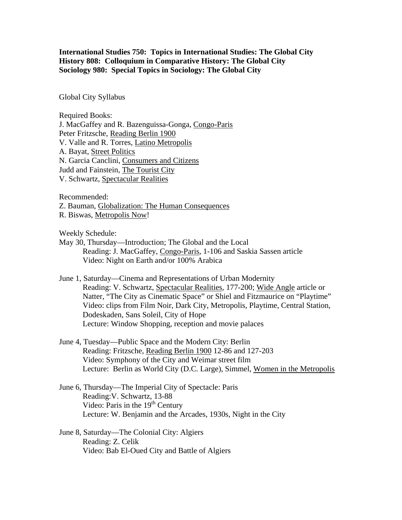**International Studies 750: Topics in International Studies: The Global City History 808: Colloquium in Comparative History: The Global City Sociology 980: Special Topics in Sociology: The Global City**

Global City Syllabus

Required Books: J. MacGaffey and R. Bazenguissa-Gonga, Congo-Paris Peter Fritzsche, Reading Berlin 1900 V. Valle and R. Torres, Latino Metropolis A. Bayat, Street Politics N. Garcia Canclini, Consumers and Citizens Judd and Fainstein, The Tourist City V. Schwartz, Spectacular Realities

Recommended:

Z. Bauman, Globalization: The Human Consequences

R. Biswas, Metropolis Now!

Weekly Schedule:

- May 30, Thursday—Introduction; The Global and the Local Reading: J. MacGaffey, Congo-Paris, 1-106 and Saskia Sassen article Video: Night on Earth and/or 100% Arabica
- June 1, Saturday—Cinema and Representations of Urban Modernity Reading: V. Schwartz, Spectacular Realities, 177-200; Wide Angle article or Natter, "The City as Cinematic Space" or Shiel and Fitzmaurice on "Playtime" Video: clips from Film Noir, Dark City, Metropolis, Playtime, Central Station, Dodeskaden, Sans Soleil, City of Hope Lecture: Window Shopping, reception and movie palaces
- June 4, Tuesday—Public Space and the Modern City: Berlin Reading: Fritzsche, Reading Berlin 1900 12-86 and 127-203 Video: Symphony of the City and Weimar street film Lecture: Berlin as World City (D.C. Large), Simmel, Women in the Metropolis
- June 6, Thursday—The Imperial City of Spectacle: Paris Reading:V. Schwartz, 13-88 Video: Paris in the  $19<sup>th</sup>$  Century Lecture: W. Benjamin and the Arcades, 1930s, Night in the City
- June 8, Saturday—The Colonial City: Algiers Reading: Z. Celik Video: Bab El-Oued City and Battle of Algiers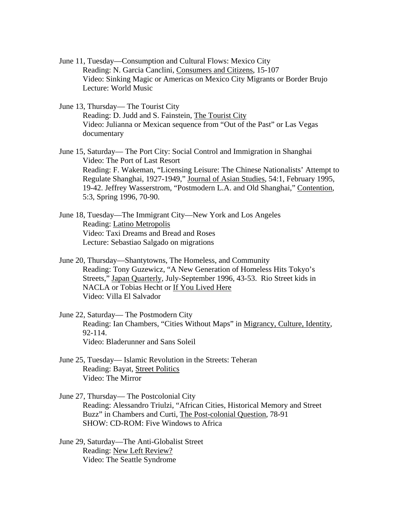- June 11, Tuesday—Consumption and Cultural Flows: Mexico City Reading: N. Garcia Canclini, Consumers and Citizens, 15-107 Video: Sinking Magic or Americas on Mexico City Migrants or Border Brujo Lecture: World Music
- June 13, Thursday— The Tourist City Reading: D. Judd and S. Fainstein, The Tourist City Video: Julianna or Mexican sequence from "Out of the Past" or Las Vegas documentary
- June 15, Saturday— The Port City: Social Control and Immigration in Shanghai Video: The Port of Last Resort Reading: F. Wakeman, "Licensing Leisure: The Chinese Nationalists' Attempt to Regulate Shanghai, 1927-1949," Journal of Asian Studies, 54:1, February 1995, 19-42. Jeffrey Wasserstrom, "Postmodern L.A. and Old Shanghai," Contention, 5:3, Spring 1996, 70-90.
- June 18, Tuesday—The Immigrant City—New York and Los Angeles Reading: Latino Metropolis Video: Taxi Dreams and Bread and Roses Lecture: Sebastiao Salgado on migrations
- June 20, Thursday—Shantytowns, The Homeless, and Community Reading: Tony Guzewicz, "A New Generation of Homeless Hits Tokyo's Streets," Japan Quarterly, July-September 1996, 43-53. Rio Street kids in NACLA or Tobias Hecht or If You Lived Here Video: Villa El Salvador
- June 22, Saturday— The Postmodern City Reading: Ian Chambers, "Cities Without Maps" in Migrancy, Culture, Identity, 92-114. Video: Bladerunner and Sans Soleil
- June 25, Tuesday— Islamic Revolution in the Streets: Teheran Reading: Bayat, Street Politics Video: The Mirror
- June 27, Thursday— The Postcolonial City Reading: Alessandro Triulzi, "African Cities, Historical Memory and Street Buzz" in Chambers and Curti, The Post-colonial Question, 78-91 SHOW: CD-ROM: Five Windows to Africa
- June 29, Saturday—The Anti-Globalist Street Reading: New Left Review? Video: The Seattle Syndrome